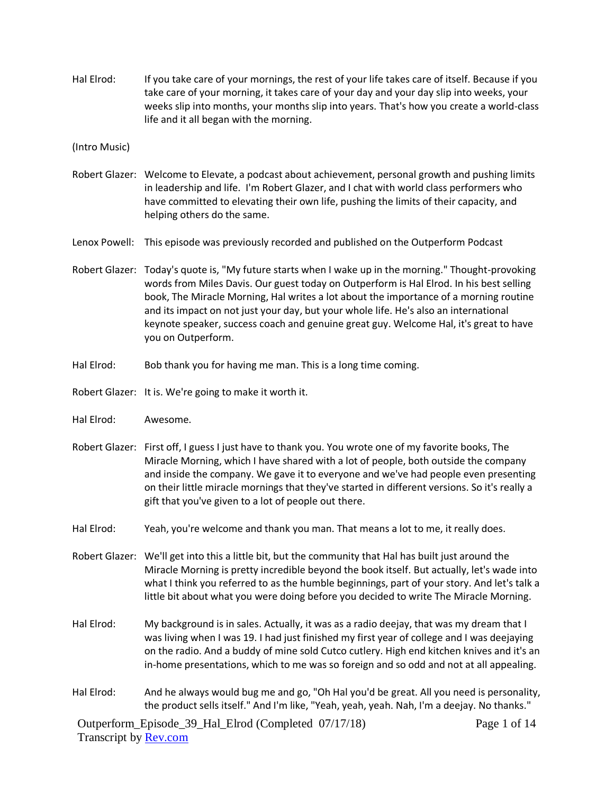Hal Elrod: If you take care of your mornings, the rest of your life takes care of itself. Because if you take care of your morning, it takes care of your day and your day slip into weeks, your weeks slip into months, your months slip into years. That's how you create a world-class life and it all began with the morning.

(Intro Music)

- Robert Glazer: Welcome to Elevate, a podcast about achievement, personal growth and pushing limits in leadership and life. I'm Robert Glazer, and I chat with world class performers who have committed to elevating their own life, pushing the limits of their capacity, and helping others do the same.
- Lenox Powell: This episode was previously recorded and published on the Outperform Podcast
- Robert Glazer: Today's quote is, "My future starts when I wake up in the morning." Thought-provoking words from Miles Davis. Our guest today on Outperform is Hal Elrod. In his best selling book, The Miracle Morning, Hal writes a lot about the importance of a morning routine and its impact on not just your day, but your whole life. He's also an international keynote speaker, success coach and genuine great guy. Welcome Hal, it's great to have you on Outperform.
- Hal Elrod: Bob thank you for having me man. This is a long time coming.
- Robert Glazer: It is. We're going to make it worth it.
- Hal Elrod: Awesome.
- Robert Glazer: First off, I guess I just have to thank you. You wrote one of my favorite books, The Miracle Morning, which I have shared with a lot of people, both outside the company and inside the company. We gave it to everyone and we've had people even presenting on their little miracle mornings that they've started in different versions. So it's really a gift that you've given to a lot of people out there.
- Hal Elrod: Yeah, you're welcome and thank you man. That means a lot to me, it really does.
- Robert Glazer: We'll get into this a little bit, but the community that Hal has built just around the Miracle Morning is pretty incredible beyond the book itself. But actually, let's wade into what I think you referred to as the humble beginnings, part of your story. And let's talk a little bit about what you were doing before you decided to write The Miracle Morning.
- Hal Elrod: My background is in sales. Actually, it was as a radio deejay, that was my dream that I was living when I was 19. I had just finished my first year of college and I was deejaying on the radio. And a buddy of mine sold Cutco cutlery. High end kitchen knives and it's an in-home presentations, which to me was so foreign and so odd and not at all appealing.
- Hal Elrod: And he always would bug me and go, "Oh Hal you'd be great. All you need is personality, the product sells itself." And I'm like, "Yeah, yeah, yeah. Nah, I'm a deejay. No thanks."

Outperform\_Episode\_39\_Hal\_Elrod (Completed 07/17/18) Transcript by **Rev.com** 

Page 1 of 14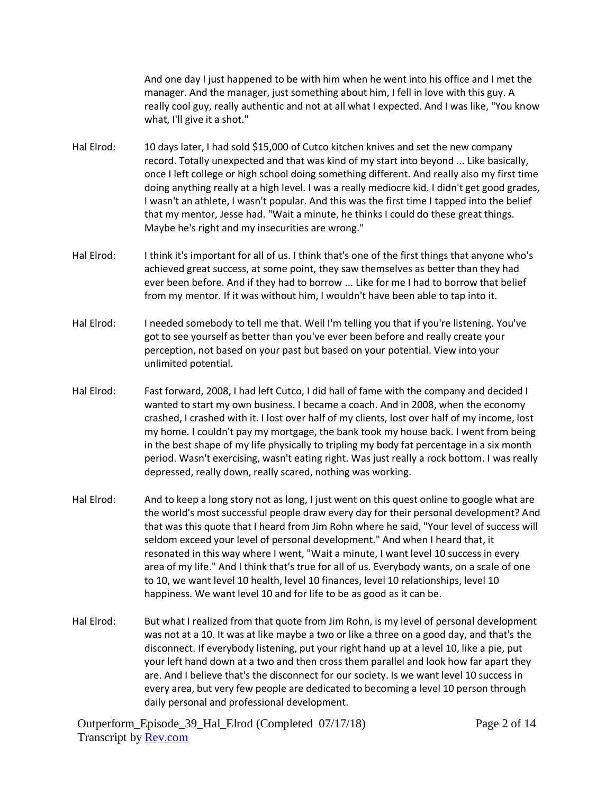And one day I just happened to be with him when he went into his office and I met the manager. And the manager, just something about him, I fell in love with this guy. A really cool guy, really authentic and not at all what I expected. And I was like, "You know what, I'll give it a shot."

- Hal Elrod: 10 days later, I had sold \$15,000 of Cutco kitchen knives and set the new company record. Totally unexpected and that was kind of my start into beyond ... Like basically, once I left college or high school doing something different. And really also my first time doing anything really at a high level. I was a really mediocre kid. I didn't get good grades, I wasn't an athlete, I wasn't popular. And this was the first time I tapped into the belief that my mentor, Jesse had. "Wait a minute, he thinks I could do these great things. Maybe he's right and my insecurities are wrong."
- Hal Elrod: I think it's important for all of us. I think that's one of the first things that anyone who's achieved great success, at some point, they saw themselves as better than they had ever been before. And if they had to borrow ... Like for me I had to borrow that belief from my mentor. If it was without him, I wouldn't have been able to tap into it.
- Hal Elrod: Ineeded somebody to tell me that. Well I'm telling you that if you're listening. You've got to see yourself as better than you've ever been before and really create your perception, not based on your past but based on your potential. View into your unlimited potential.
- Hal Elrod: Fast forward, 2008, I had left Cutco, I did hall of fame with the company and decided I wanted to start my own business. I became a coach. And in 2008, when the economy crashed, I crashed with it. I lost over half of my clients, lost over half of my income, lost my home. I couldn't pay my mortgage, the bank took my house back. I went from being in the best shape of my life physically to tripling my body fat percentage in a six month period. Wasn't exercising, wasn't eating right. Was just really a rock bottom. I was really depressed, really down, really scared, nothing was working.
- Hal Elrod: And to keep a long story not as long, I just went on this quest online to google what are the world's most successful people draw every day for their personal development? And that was this quote that I heard from Jim Rohn where he said, "Your level of success will seldom exceed your level of personal development." And when I heard that, it resonated in this way where I went, "Wait a minute, I want level 10 success in every area of my life." And I think that's true for all of us. Everybody wants, on a scale of one to 10, we want level 10 health, level 10 finances, level 10 relationships, level 10 happiness. We want level 10 and for life to be as good as it can be.
- Hal Elrod: But what I realized from that quote from Jim Rohn, is my level of personal development was not at a 10. It was at like maybe a two or like a three on a good day, and that's the disconnect. If everybody listening, put your right hand up at a level 10, like a pie, put your left hand down at a two and then cross them parallel and look how far apart they are. And I believe that's the disconnect for our society. Is we want level 10 success in every area, but very few people are dedicated to becoming a level 10 person through daily personal and professional development.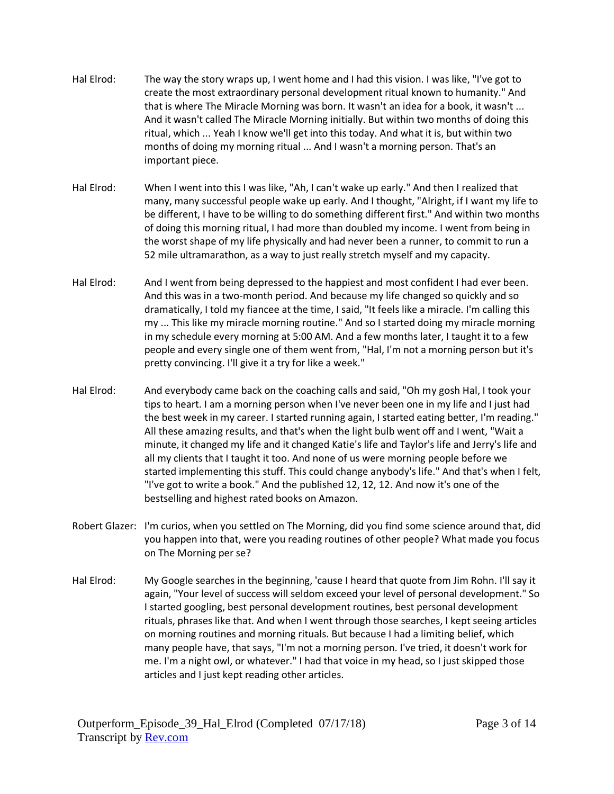- Hal Elrod: The way the story wraps up, I went home and I had this vision. I was like, "I've got to create the most extraordinary personal development ritual known to humanity." And that is where The Miracle Morning was born. It wasn't an idea for a book, it wasn't ... And it wasn't called The Miracle Morning initially. But within two months of doing this ritual, which ... Yeah I know we'll get into this today. And what it is, but within two months of doing my morning ritual ... And I wasn't a morning person. That's an important piece.
- Hal Elrod: When I went into this I was like, "Ah, I can't wake up early." And then I realized that many, many successful people wake up early. And I thought, "Alright, if I want my life to be different, I have to be willing to do something different first." And within two months of doing this morning ritual, I had more than doubled my income. I went from being in the worst shape of my life physically and had never been a runner, to commit to run a 52 mile ultramarathon, as a way to just really stretch myself and my capacity.
- Hal Elrod: And I went from being depressed to the happiest and most confident I had ever been. And this was in a two-month period. And because my life changed so quickly and so dramatically, I told my fiancee at the time, I said, "It feels like a miracle. I'm calling this my ... This like my miracle morning routine." And so I started doing my miracle morning in my schedule every morning at 5:00 AM. And a few months later, I taught it to a few people and every single one of them went from, "Hal, I'm not a morning person but it's pretty convincing. I'll give it a try for like a week."
- Hal Elrod: And everybody came back on the coaching calls and said, "Oh my gosh Hal, I took your tips to heart. I am a morning person when I've never been one in my life and I just had the best week in my career. I started running again, I started eating better, I'm reading." All these amazing results, and that's when the light bulb went off and I went, "Wait a minute, it changed my life and it changed Katie's life and Taylor's life and Jerry's life and all my clients that I taught it too. And none of us were morning people before we started implementing this stuff. This could change anybody's life." And that's when I felt, "I've got to write a book." And the published 12, 12, 12. And now it's one of the bestselling and highest rated books on Amazon.
- Robert Glazer: I'm curios, when you settled on The Morning, did you find some science around that, did you happen into that, were you reading routines of other people? What made you focus on The Morning per se?
- Hal Elrod: My Google searches in the beginning, 'cause I heard that quote from Jim Rohn. I'll say it again, "Your level of success will seldom exceed your level of personal development." So I started googling, best personal development routines, best personal development rituals, phrases like that. And when I went through those searches, I kept seeing articles on morning routines and morning rituals. But because I had a limiting belief, which many people have, that says, "I'm not a morning person. I've tried, it doesn't work for me. I'm a night owl, or whatever." I had that voice in my head, so I just skipped those articles and I just kept reading other articles.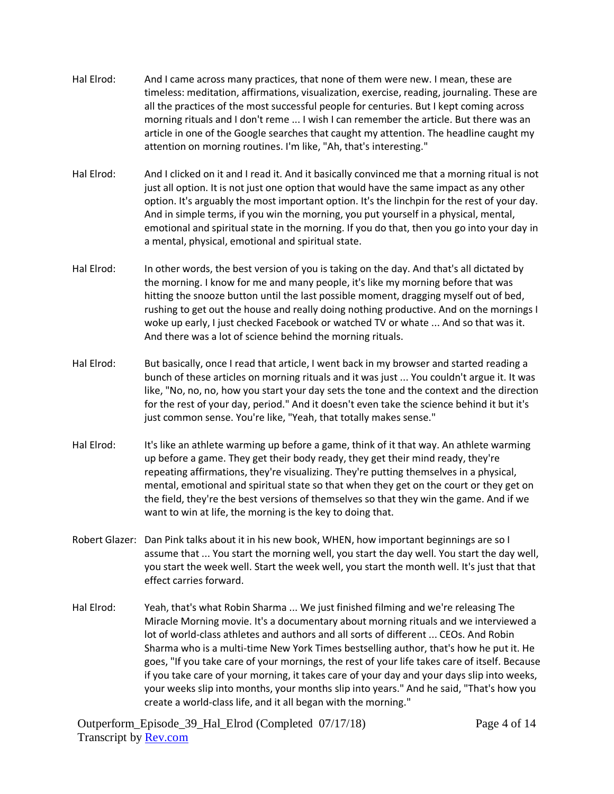- Hal Elrod: And I came across many practices, that none of them were new. I mean, these are timeless: meditation, affirmations, visualization, exercise, reading, journaling. These are all the practices of the most successful people for centuries. But I kept coming across morning rituals and I don't reme ... I wish I can remember the article. But there was an article in one of the Google searches that caught my attention. The headline caught my attention on morning routines. I'm like, "Ah, that's interesting."
- Hal Elrod: And I clicked on it and I read it. And it basically convinced me that a morning ritual is not just all option. It is not just one option that would have the same impact as any other option. It's arguably the most important option. It's the linchpin for the rest of your day. And in simple terms, if you win the morning, you put yourself in a physical, mental, emotional and spiritual state in the morning. If you do that, then you go into your day in a mental, physical, emotional and spiritual state.
- Hal Elrod: In other words, the best version of you is taking on the day. And that's all dictated by the morning. I know for me and many people, it's like my morning before that was hitting the snooze button until the last possible moment, dragging myself out of bed, rushing to get out the house and really doing nothing productive. And on the mornings I woke up early, I just checked Facebook or watched TV or whate ... And so that was it. And there was a lot of science behind the morning rituals.
- Hal Elrod: But basically, once I read that article, I went back in my browser and started reading a bunch of these articles on morning rituals and it was just ... You couldn't argue it. It was like, "No, no, no, how you start your day sets the tone and the context and the direction for the rest of your day, period." And it doesn't even take the science behind it but it's just common sense. You're like, "Yeah, that totally makes sense."
- Hal Elrod: It's like an athlete warming up before a game, think of it that way. An athlete warming up before a game. They get their body ready, they get their mind ready, they're repeating affirmations, they're visualizing. They're putting themselves in a physical, mental, emotional and spiritual state so that when they get on the court or they get on the field, they're the best versions of themselves so that they win the game. And if we want to win at life, the morning is the key to doing that.
- Robert Glazer: Dan Pink talks about it in his new book, WHEN, how important beginnings are so I assume that ... You start the morning well, you start the day well. You start the day well, you start the week well. Start the week well, you start the month well. It's just that that effect carries forward.
- Hal Elrod: Yeah, that's what Robin Sharma ... We just finished filming and we're releasing The Miracle Morning movie. It's a documentary about morning rituals and we interviewed a lot of world-class athletes and authors and all sorts of different ... CEOs. And Robin Sharma who is a multi-time New York Times bestselling author, that's how he put it. He goes, "If you take care of your mornings, the rest of your life takes care of itself. Because if you take care of your morning, it takes care of your day and your days slip into weeks, your weeks slip into months, your months slip into years." And he said, "That's how you create a world-class life, and it all began with the morning."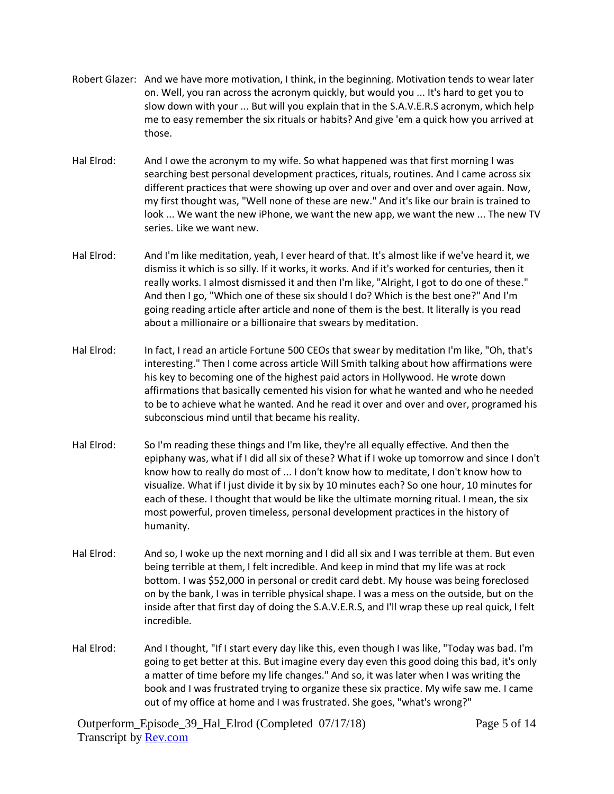- Robert Glazer: And we have more motivation, I think, in the beginning. Motivation tends to wear later on. Well, you ran across the acronym quickly, but would you ... It's hard to get you to slow down with your ... But will you explain that in the S.A.V.E.R.S acronym, which help me to easy remember the six rituals or habits? And give 'em a quick how you arrived at those.
- Hal Elrod: And I owe the acronym to my wife. So what happened was that first morning I was searching best personal development practices, rituals, routines. And I came across six different practices that were showing up over and over and over and over again. Now, my first thought was, "Well none of these are new." And it's like our brain is trained to look ... We want the new iPhone, we want the new app, we want the new ... The new TV series. Like we want new.
- Hal Elrod: And I'm like meditation, yeah, I ever heard of that. It's almost like if we've heard it, we dismiss it which is so silly. If it works, it works. And if it's worked for centuries, then it really works. I almost dismissed it and then I'm like, "Alright, I got to do one of these." And then I go, "Which one of these six should I do? Which is the best one?" And I'm going reading article after article and none of them is the best. It literally is you read about a millionaire or a billionaire that swears by meditation.
- Hal Elrod: In fact, I read an article Fortune 500 CEOs that swear by meditation I'm like, "Oh, that's interesting." Then I come across article Will Smith talking about how affirmations were his key to becoming one of the highest paid actors in Hollywood. He wrote down affirmations that basically cemented his vision for what he wanted and who he needed to be to achieve what he wanted. And he read it over and over and over, programed his subconscious mind until that became his reality.
- Hal Elrod: So I'm reading these things and I'm like, they're all equally effective. And then the epiphany was, what if I did all six of these? What if I woke up tomorrow and since I don't know how to really do most of ... I don't know how to meditate, I don't know how to visualize. What if I just divide it by six by 10 minutes each? So one hour, 10 minutes for each of these. I thought that would be like the ultimate morning ritual. I mean, the six most powerful, proven timeless, personal development practices in the history of humanity.
- Hal Elrod: And so, I woke up the next morning and I did all six and I was terrible at them. But even being terrible at them, I felt incredible. And keep in mind that my life was at rock bottom. I was \$52,000 in personal or credit card debt. My house was being foreclosed on by the bank, I was in terrible physical shape. I was a mess on the outside, but on the inside after that first day of doing the S.A.V.E.R.S, and I'll wrap these up real quick, I felt incredible.
- Hal Elrod: And I thought, "If I start every day like this, even though I was like, "Today was bad. I'm going to get better at this. But imagine every day even this good doing this bad, it's only a matter of time before my life changes." And so, it was later when I was writing the book and I was frustrated trying to organize these six practice. My wife saw me. I came out of my office at home and I was frustrated. She goes, "what's wrong?"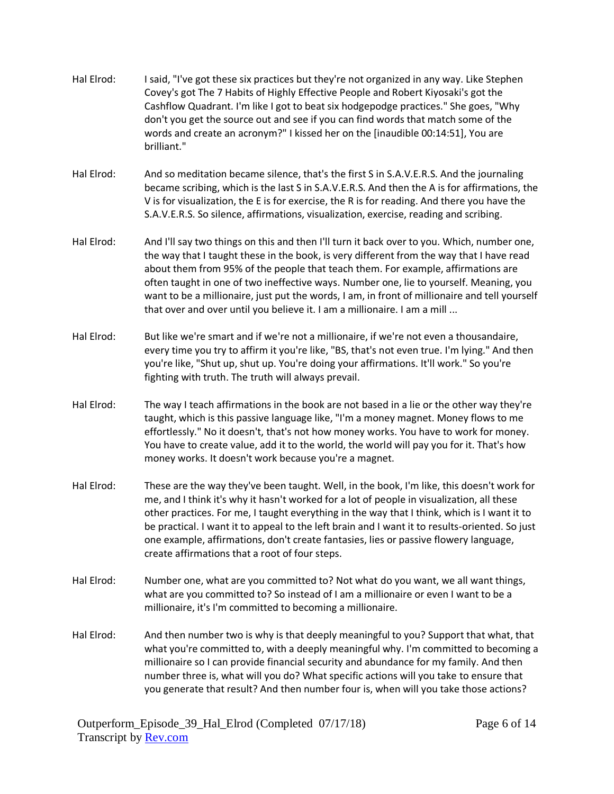| Hal Elrod: | I said, "I've got these six practices but they're not organized in any way. Like Stephen<br>Covey's got The 7 Habits of Highly Effective People and Robert Kiyosaki's got the<br>Cashflow Quadrant. I'm like I got to beat six hodgepodge practices." She goes, "Why<br>don't you get the source out and see if you can find words that match some of the<br>words and create an acronym?" I kissed her on the [inaudible 00:14:51], You are<br>brilliant."                                                                                       |
|------------|---------------------------------------------------------------------------------------------------------------------------------------------------------------------------------------------------------------------------------------------------------------------------------------------------------------------------------------------------------------------------------------------------------------------------------------------------------------------------------------------------------------------------------------------------|
| Hal Elrod: | And so meditation became silence, that's the first S in S.A.V.E.R.S. And the journaling<br>became scribing, which is the last S in S.A.V.E.R.S. And then the A is for affirmations, the<br>V is for visualization, the E is for exercise, the R is for reading. And there you have the<br>S.A.V.E.R.S. So silence, affirmations, visualization, exercise, reading and scribing.                                                                                                                                                                   |
| Hal Elrod: | And I'll say two things on this and then I'll turn it back over to you. Which, number one,<br>the way that I taught these in the book, is very different from the way that I have read<br>about them from 95% of the people that teach them. For example, affirmations are<br>often taught in one of two ineffective ways. Number one, lie to yourself. Meaning, you<br>want to be a millionaire, just put the words, I am, in front of millionaire and tell yourself<br>that over and over until you believe it. I am a millionaire. I am a mill |
| Hal Elrod: | But like we're smart and if we're not a millionaire, if we're not even a thousandaire,<br>every time you try to affirm it you're like, "BS, that's not even true. I'm lying." And then<br>you're like, "Shut up, shut up. You're doing your affirmations. It'll work." So you're<br>fighting with truth. The truth will always prevail.                                                                                                                                                                                                           |
| Hal Elrod: | The way I teach affirmations in the book are not based in a lie or the other way they're<br>taught, which is this passive language like, "I'm a money magnet. Money flows to me<br>effortlessly." No it doesn't, that's not how money works. You have to work for money.<br>You have to create value, add it to the world, the world will pay you for it. That's how<br>money works. It doesn't work because you're a magnet.                                                                                                                     |
| Hal Elrod: | These are the way they've been taught. Well, in the book, I'm like, this doesn't work for<br>me, and I think it's why it hasn't worked for a lot of people in visualization, all these<br>other practices. For me, I taught everything in the way that I think, which is I want it to<br>be practical. I want it to appeal to the left brain and I want it to results-oriented. So just<br>one example, affirmations, don't create fantasies, lies or passive flowery language,<br>create affirmations that a root of four steps.                 |
| Hal Elrod: | Number one, what are you committed to? Not what do you want, we all want things,<br>what are you committed to? So instead of I am a millionaire or even I want to be a<br>millionaire, it's I'm committed to becoming a millionaire.                                                                                                                                                                                                                                                                                                              |
| Hal Elrod: | And then number two is why is that deeply meaningful to you? Support that what, that<br>what you're committed to, with a deeply meaningful why. I'm committed to becoming a<br>millionaire so I can provide financial security and abundance for my family. And then<br>number three is, what will you do? What specific actions will you take to ensure that<br>you generate that result? And then number four is, when will you take those actions?                                                                                             |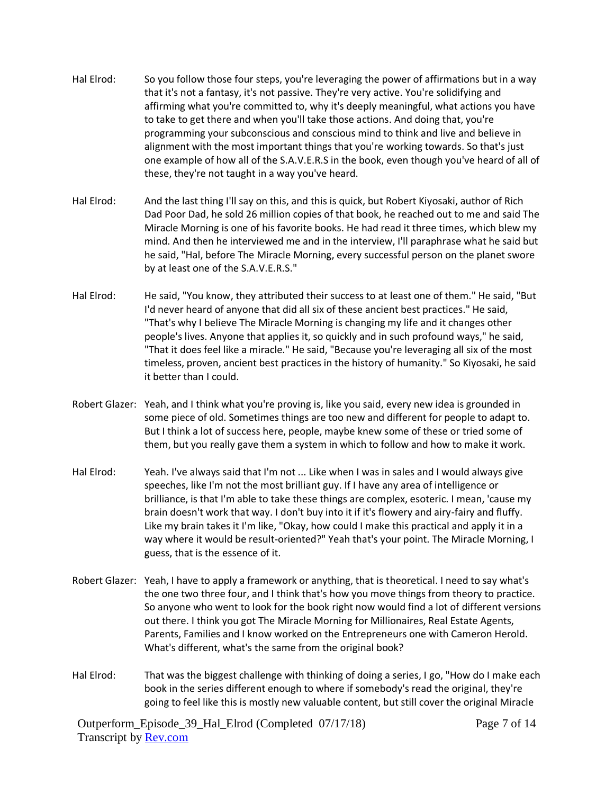- Hal Elrod: So you follow those four steps, you're leveraging the power of affirmations but in a way that it's not a fantasy, it's not passive. They're very active. You're solidifying and affirming what you're committed to, why it's deeply meaningful, what actions you have to take to get there and when you'll take those actions. And doing that, you're programming your subconscious and conscious mind to think and live and believe in alignment with the most important things that you're working towards. So that's just one example of how all of the S.A.V.E.R.S in the book, even though you've heard of all of these, they're not taught in a way you've heard.
- Hal Elrod: And the last thing I'll say on this, and this is quick, but Robert Kiyosaki, author of Rich Dad Poor Dad, he sold 26 million copies of that book, he reached out to me and said The Miracle Morning is one of his favorite books. He had read it three times, which blew my mind. And then he interviewed me and in the interview, I'll paraphrase what he said but he said, "Hal, before The Miracle Morning, every successful person on the planet swore by at least one of the S.A.V.E.R.S."
- Hal Elrod: He said, "You know, they attributed their success to at least one of them." He said, "But I'd never heard of anyone that did all six of these ancient best practices." He said, "That's why I believe The Miracle Morning is changing my life and it changes other people's lives. Anyone that applies it, so quickly and in such profound ways," he said, "That it does feel like a miracle." He said, "Because you're leveraging all six of the most timeless, proven, ancient best practices in the history of humanity." So Kiyosaki, he said it better than I could.
- Robert Glazer: Yeah, and I think what you're proving is, like you said, every new idea is grounded in some piece of old. Sometimes things are too new and different for people to adapt to. But I think a lot of success here, people, maybe knew some of these or tried some of them, but you really gave them a system in which to follow and how to make it work.
- Hal Elrod: Yeah. I've always said that I'm not ... Like when I was in sales and I would always give speeches, like I'm not the most brilliant guy. If I have any area of intelligence or brilliance, is that I'm able to take these things are complex, esoteric. I mean, 'cause my brain doesn't work that way. I don't buy into it if it's flowery and airy-fairy and fluffy. Like my brain takes it I'm like, "Okay, how could I make this practical and apply it in a way where it would be result-oriented?" Yeah that's your point. The Miracle Morning, I guess, that is the essence of it.
- Robert Glazer: Yeah, I have to apply a framework or anything, that is theoretical. I need to say what's the one two three four, and I think that's how you move things from theory to practice. So anyone who went to look for the book right now would find a lot of different versions out there. I think you got The Miracle Morning for Millionaires, Real Estate Agents, Parents, Families and I know worked on the Entrepreneurs one with Cameron Herold. What's different, what's the same from the original book?
- Hal Elrod: That was the biggest challenge with thinking of doing a series, I go, "How do I make each book in the series different enough to where if somebody's read the original, they're going to feel like this is mostly new valuable content, but still cover the original Miracle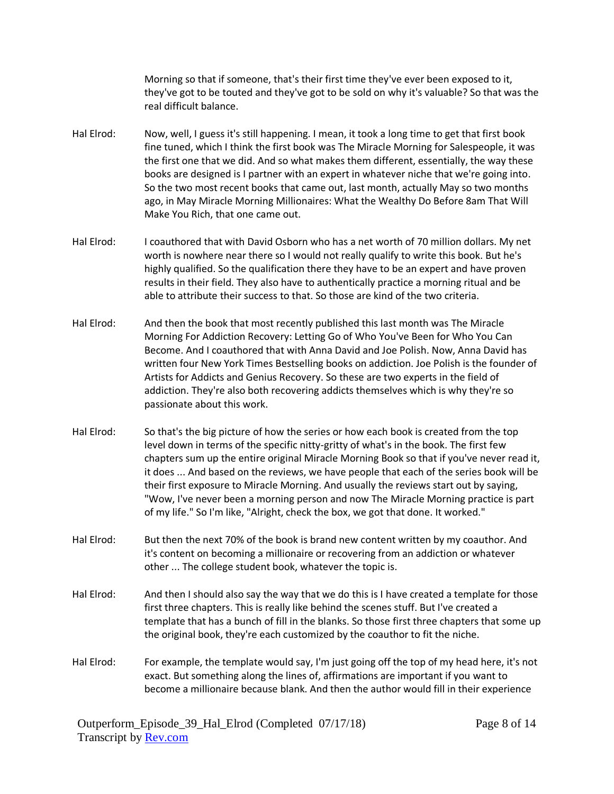Morning so that if someone, that's their first time they've ever been exposed to it, they've got to be touted and they've got to be sold on why it's valuable? So that was the real difficult balance.

- Hal Elrod: Now, well, I guess it's still happening. I mean, it took a long time to get that first book fine tuned, which I think the first book was The Miracle Morning for Salespeople, it was the first one that we did. And so what makes them different, essentially, the way these books are designed is I partner with an expert in whatever niche that we're going into. So the two most recent books that came out, last month, actually May so two months ago, in May Miracle Morning Millionaires: What the Wealthy Do Before 8am That Will Make You Rich, that one came out.
- Hal Elrod: I coauthored that with David Osborn who has a net worth of 70 million dollars. My net worth is nowhere near there so I would not really qualify to write this book. But he's highly qualified. So the qualification there they have to be an expert and have proven results in their field. They also have to authentically practice a morning ritual and be able to attribute their success to that. So those are kind of the two criteria.
- Hal Elrod: And then the book that most recently published this last month was The Miracle Morning For Addiction Recovery: Letting Go of Who You've Been for Who You Can Become. And I coauthored that with Anna David and Joe Polish. Now, Anna David has written four New York Times Bestselling books on addiction. Joe Polish is the founder of Artists for Addicts and Genius Recovery. So these are two experts in the field of addiction. They're also both recovering addicts themselves which is why they're so passionate about this work.
- Hal Elrod: So that's the big picture of how the series or how each book is created from the top level down in terms of the specific nitty-gritty of what's in the book. The first few chapters sum up the entire original Miracle Morning Book so that if you've never read it, it does ... And based on the reviews, we have people that each of the series book will be their first exposure to Miracle Morning. And usually the reviews start out by saying, "Wow, I've never been a morning person and now The Miracle Morning practice is part of my life." So I'm like, "Alright, check the box, we got that done. It worked."
- Hal Elrod: But then the next 70% of the book is brand new content written by my coauthor. And it's content on becoming a millionaire or recovering from an addiction or whatever other ... The college student book, whatever the topic is.
- Hal Elrod: And then I should also say the way that we do this is I have created a template for those first three chapters. This is really like behind the scenes stuff. But I've created a template that has a bunch of fill in the blanks. So those first three chapters that some up the original book, they're each customized by the coauthor to fit the niche.
- Hal Elrod: For example, the template would say, I'm just going off the top of my head here, it's not exact. But something along the lines of, affirmations are important if you want to become a millionaire because blank. And then the author would fill in their experience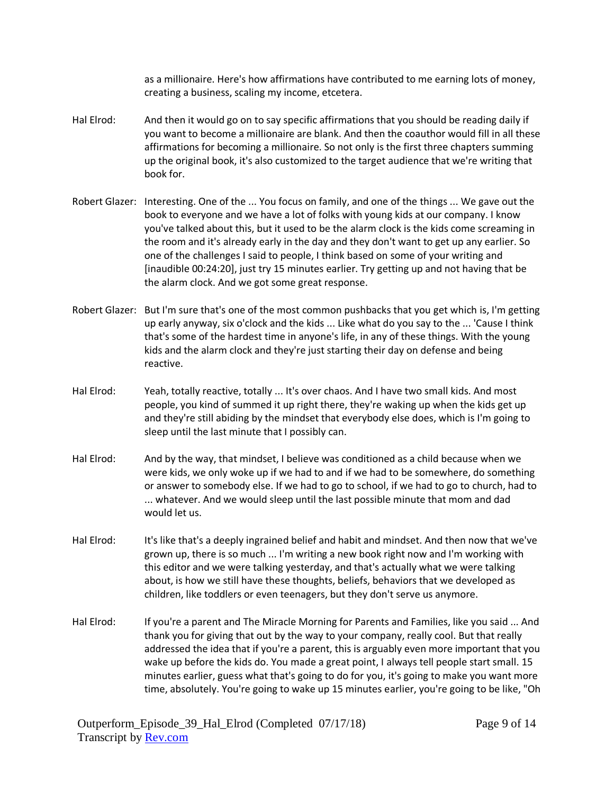as a millionaire. Here's how affirmations have contributed to me earning lots of money, creating a business, scaling my income, etcetera.

- Hal Elrod: And then it would go on to say specific affirmations that you should be reading daily if you want to become a millionaire are blank. And then the coauthor would fill in all these affirmations for becoming a millionaire. So not only is the first three chapters summing up the original book, it's also customized to the target audience that we're writing that book for.
- Robert Glazer: Interesting. One of the ... You focus on family, and one of the things ... We gave out the book to everyone and we have a lot of folks with young kids at our company. I know you've talked about this, but it used to be the alarm clock is the kids come screaming in the room and it's already early in the day and they don't want to get up any earlier. So one of the challenges I said to people, I think based on some of your writing and [inaudible 00:24:20], just try 15 minutes earlier. Try getting up and not having that be the alarm clock. And we got some great response.
- Robert Glazer: But I'm sure that's one of the most common pushbacks that you get which is, I'm getting up early anyway, six o'clock and the kids ... Like what do you say to the ... 'Cause I think that's some of the hardest time in anyone's life, in any of these things. With the young kids and the alarm clock and they're just starting their day on defense and being reactive.
- Hal Elrod: Yeah, totally reactive, totally ... It's over chaos. And I have two small kids. And most people, you kind of summed it up right there, they're waking up when the kids get up and they're still abiding by the mindset that everybody else does, which is I'm going to sleep until the last minute that I possibly can.
- Hal Elrod: And by the way, that mindset, I believe was conditioned as a child because when we were kids, we only woke up if we had to and if we had to be somewhere, do something or answer to somebody else. If we had to go to school, if we had to go to church, had to ... whatever. And we would sleep until the last possible minute that mom and dad would let us.
- Hal Elrod: It's like that's a deeply ingrained belief and habit and mindset. And then now that we've grown up, there is so much ... I'm writing a new book right now and I'm working with this editor and we were talking yesterday, and that's actually what we were talking about, is how we still have these thoughts, beliefs, behaviors that we developed as children, like toddlers or even teenagers, but they don't serve us anymore.
- Hal Elrod: If you're a parent and The Miracle Morning for Parents and Families, like you said ... And thank you for giving that out by the way to your company, really cool. But that really addressed the idea that if you're a parent, this is arguably even more important that you wake up before the kids do. You made a great point, I always tell people start small. 15 minutes earlier, guess what that's going to do for you, it's going to make you want more time, absolutely. You're going to wake up 15 minutes earlier, you're going to be like, "Oh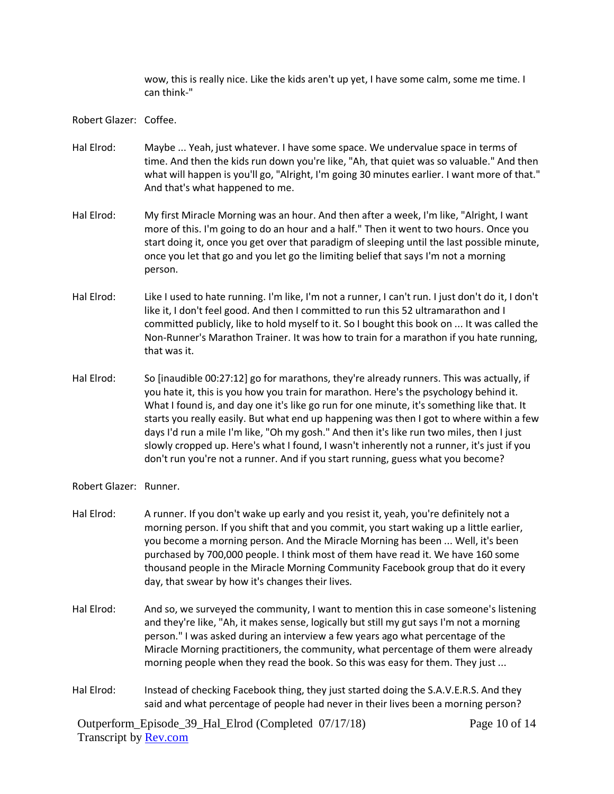wow, this is really nice. Like the kids aren't up yet, I have some calm, some me time. I can think-"

Robert Glazer: Coffee.

- Hal Elrod: Maybe ... Yeah, just whatever. I have some space. We undervalue space in terms of time. And then the kids run down you're like, "Ah, that quiet was so valuable." And then what will happen is you'll go, "Alright, I'm going 30 minutes earlier. I want more of that." And that's what happened to me.
- Hal Elrod: My first Miracle Morning was an hour. And then after a week, I'm like, "Alright, I want more of this. I'm going to do an hour and a half." Then it went to two hours. Once you start doing it, once you get over that paradigm of sleeping until the last possible minute, once you let that go and you let go the limiting belief that says I'm not a morning person.
- Hal Elrod: Like I used to hate running. I'm like, I'm not a runner, I can't run. I just don't do it, I don't like it, I don't feel good. And then I committed to run this 52 ultramarathon and I committed publicly, like to hold myself to it. So I bought this book on ... It was called the Non-Runner's Marathon Trainer. It was how to train for a marathon if you hate running, that was it.
- Hal Elrod: So [inaudible 00:27:12] go for marathons, they're already runners. This was actually, if you hate it, this is you how you train for marathon. Here's the psychology behind it. What I found is, and day one it's like go run for one minute, it's something like that. It starts you really easily. But what end up happening was then I got to where within a few days I'd run a mile I'm like, "Oh my gosh." And then it's like run two miles, then I just slowly cropped up. Here's what I found, I wasn't inherently not a runner, it's just if you don't run you're not a runner. And if you start running, guess what you become?
- Robert Glazer: Runner.
- Hal Elrod: A runner. If you don't wake up early and you resist it, yeah, you're definitely not a morning person. If you shift that and you commit, you start waking up a little earlier, you become a morning person. And the Miracle Morning has been ... Well, it's been purchased by 700,000 people. I think most of them have read it. We have 160 some thousand people in the Miracle Morning Community Facebook group that do it every day, that swear by how it's changes their lives.
- Hal Elrod: And so, we surveyed the community, I want to mention this in case someone's listening and they're like, "Ah, it makes sense, logically but still my gut says I'm not a morning person." I was asked during an interview a few years ago what percentage of the Miracle Morning practitioners, the community, what percentage of them were already morning people when they read the book. So this was easy for them. They just ...
- Hal Elrod: Instead of checking Facebook thing, they just started doing the S.A.V.E.R.S. And they said and what percentage of people had never in their lives been a morning person?

Page 10 of 14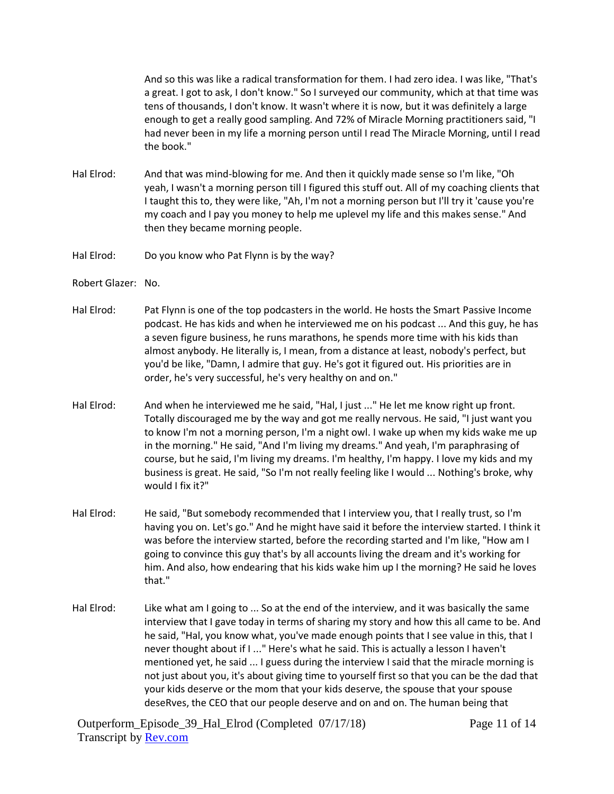And so this was like a radical transformation for them. I had zero idea. I was like, "That's a great. I got to ask, I don't know." So I surveyed our community, which at that time was tens of thousands, I don't know. It wasn't where it is now, but it was definitely a large enough to get a really good sampling. And 72% of Miracle Morning practitioners said, "I had never been in my life a morning person until I read The Miracle Morning, until I read the book."

- Hal Elrod: And that was mind-blowing for me. And then it quickly made sense so I'm like, "Oh yeah, I wasn't a morning person till I figured this stuff out. All of my coaching clients that I taught this to, they were like, "Ah, I'm not a morning person but I'll try it 'cause you're my coach and I pay you money to help me uplevel my life and this makes sense." And then they became morning people.
- Hal Elrod: Do you know who Pat Flynn is by the way?
- Robert Glazer: No.
- Hal Elrod: Pat Flynn is one of the top podcasters in the world. He hosts the Smart Passive Income podcast. He has kids and when he interviewed me on his podcast ... And this guy, he has a seven figure business, he runs marathons, he spends more time with his kids than almost anybody. He literally is, I mean, from a distance at least, nobody's perfect, but you'd be like, "Damn, I admire that guy. He's got it figured out. His priorities are in order, he's very successful, he's very healthy on and on."
- Hal Elrod: And when he interviewed me he said, "Hal, I just ..." He let me know right up front. Totally discouraged me by the way and got me really nervous. He said, "I just want you to know I'm not a morning person, I'm a night owl. I wake up when my kids wake me up in the morning." He said, "And I'm living my dreams." And yeah, I'm paraphrasing of course, but he said, I'm living my dreams. I'm healthy, I'm happy. I love my kids and my business is great. He said, "So I'm not really feeling like I would ... Nothing's broke, why would I fix it?"
- Hal Elrod: He said, "But somebody recommended that I interview you, that I really trust, so I'm having you on. Let's go." And he might have said it before the interview started. I think it was before the interview started, before the recording started and I'm like, "How am I going to convince this guy that's by all accounts living the dream and it's working for him. And also, how endearing that his kids wake him up I the morning? He said he loves that."
- Hal Elrod: Like what am I going to ... So at the end of the interview, and it was basically the same interview that I gave today in terms of sharing my story and how this all came to be. And he said, "Hal, you know what, you've made enough points that I see value in this, that I never thought about if I ..." Here's what he said. This is actually a lesson I haven't mentioned yet, he said ... I guess during the interview I said that the miracle morning is not just about you, it's about giving time to yourself first so that you can be the dad that your kids deserve or the mom that your kids deserve, the spouse that your spouse deseRves, the CEO that our people deserve and on and on. The human being that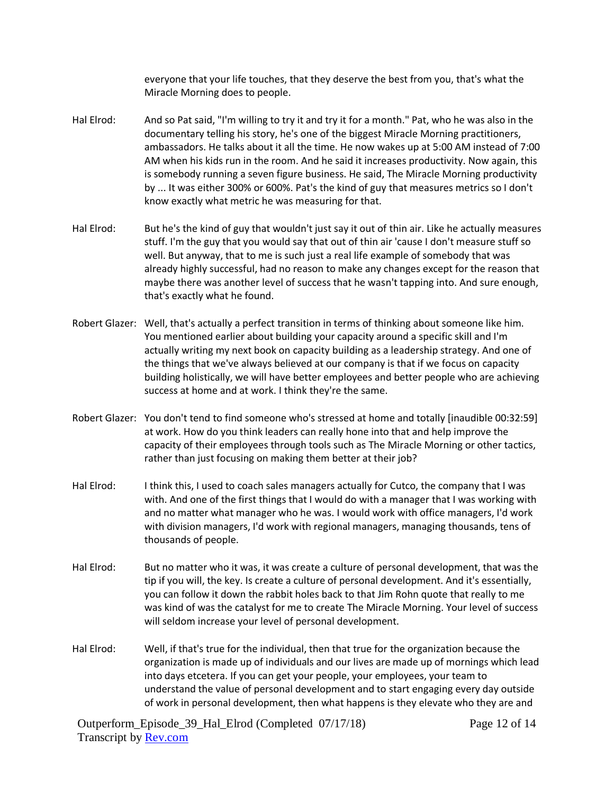everyone that your life touches, that they deserve the best from you, that's what the Miracle Morning does to people.

- Hal Elrod: And so Pat said, "I'm willing to try it and try it for a month." Pat, who he was also in the documentary telling his story, he's one of the biggest Miracle Morning practitioners, ambassadors. He talks about it all the time. He now wakes up at 5:00 AM instead of 7:00 AM when his kids run in the room. And he said it increases productivity. Now again, this is somebody running a seven figure business. He said, The Miracle Morning productivity by ... It was either 300% or 600%. Pat's the kind of guy that measures metrics so I don't know exactly what metric he was measuring for that.
- Hal Elrod: But he's the kind of guy that wouldn't just say it out of thin air. Like he actually measures stuff. I'm the guy that you would say that out of thin air 'cause I don't measure stuff so well. But anyway, that to me is such just a real life example of somebody that was already highly successful, had no reason to make any changes except for the reason that maybe there was another level of success that he wasn't tapping into. And sure enough, that's exactly what he found.
- Robert Glazer: Well, that's actually a perfect transition in terms of thinking about someone like him. You mentioned earlier about building your capacity around a specific skill and I'm actually writing my next book on capacity building as a leadership strategy. And one of the things that we've always believed at our company is that if we focus on capacity building holistically, we will have better employees and better people who are achieving success at home and at work. I think they're the same.
- Robert Glazer: You don't tend to find someone who's stressed at home and totally [inaudible 00:32:59] at work. How do you think leaders can really hone into that and help improve the capacity of their employees through tools such as The Miracle Morning or other tactics, rather than just focusing on making them better at their job?
- Hal Elrod: I think this, I used to coach sales managers actually for Cutco, the company that I was with. And one of the first things that I would do with a manager that I was working with and no matter what manager who he was. I would work with office managers, I'd work with division managers, I'd work with regional managers, managing thousands, tens of thousands of people.
- Hal Elrod: But no matter who it was, it was create a culture of personal development, that was the tip if you will, the key. Is create a culture of personal development. And it's essentially, you can follow it down the rabbit holes back to that Jim Rohn quote that really to me was kind of was the catalyst for me to create The Miracle Morning. Your level of success will seldom increase your level of personal development.
- Hal Elrod: Well, if that's true for the individual, then that true for the organization because the organization is made up of individuals and our lives are made up of mornings which lead into days etcetera. If you can get your people, your employees, your team to understand the value of personal development and to start engaging every day outside of work in personal development, then what happens is they elevate who they are and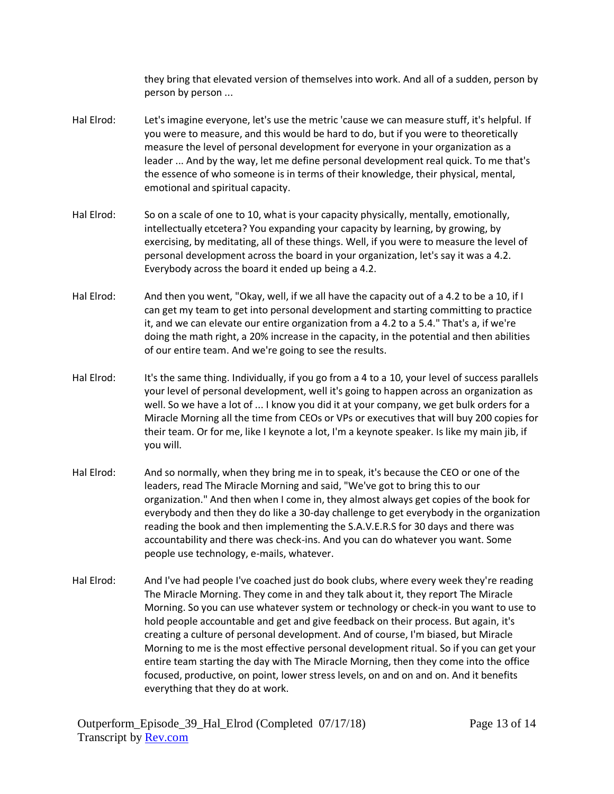they bring that elevated version of themselves into work. And all of a sudden, person by person by person ...

- Hal Elrod: Let's imagine everyone, let's use the metric 'cause we can measure stuff, it's helpful. If you were to measure, and this would be hard to do, but if you were to theoretically measure the level of personal development for everyone in your organization as a leader ... And by the way, let me define personal development real quick. To me that's the essence of who someone is in terms of their knowledge, their physical, mental, emotional and spiritual capacity.
- Hal Elrod: So on a scale of one to 10, what is your capacity physically, mentally, emotionally, intellectually etcetera? You expanding your capacity by learning, by growing, by exercising, by meditating, all of these things. Well, if you were to measure the level of personal development across the board in your organization, let's say it was a 4.2. Everybody across the board it ended up being a 4.2.
- Hal Elrod: And then you went, "Okay, well, if we all have the capacity out of a 4.2 to be a 10, if I can get my team to get into personal development and starting committing to practice it, and we can elevate our entire organization from a 4.2 to a 5.4." That's a, if we're doing the math right, a 20% increase in the capacity, in the potential and then abilities of our entire team. And we're going to see the results.
- Hal Elrod: It's the same thing. Individually, if you go from a 4 to a 10, your level of success parallels your level of personal development, well it's going to happen across an organization as well. So we have a lot of ... I know you did it at your company, we get bulk orders for a Miracle Morning all the time from CEOs or VPs or executives that will buy 200 copies for their team. Or for me, like I keynote a lot, I'm a keynote speaker. Is like my main jib, if you will.
- Hal Elrod: And so normally, when they bring me in to speak, it's because the CEO or one of the leaders, read The Miracle Morning and said, "We've got to bring this to our organization." And then when I come in, they almost always get copies of the book for everybody and then they do like a 30-day challenge to get everybody in the organization reading the book and then implementing the S.A.V.E.R.S for 30 days and there was accountability and there was check-ins. And you can do whatever you want. Some people use technology, e-mails, whatever.
- Hal Elrod: And I've had people I've coached just do book clubs, where every week they're reading The Miracle Morning. They come in and they talk about it, they report The Miracle Morning. So you can use whatever system or technology or check-in you want to use to hold people accountable and get and give feedback on their process. But again, it's creating a culture of personal development. And of course, I'm biased, but Miracle Morning to me is the most effective personal development ritual. So if you can get your entire team starting the day with The Miracle Morning, then they come into the office focused, productive, on point, lower stress levels, on and on and on. And it benefits everything that they do at work.